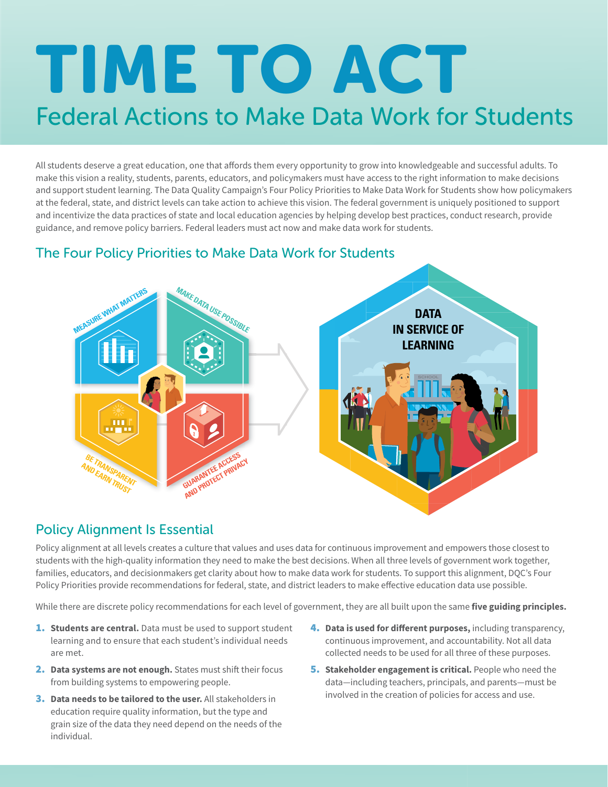# Federal Actions to Make Data Work for Students TIME TO ACT

All students deserve a great education, one that affords them every opportunity to grow into knowledgeable and successful adults. To make this vision a reality, students, parents, educators, and policymakers must have access to the right information to make decisions and support student learning. The Data Quality Campaign's Four Policy Priorities to Make Data Work for Students show how policymakers at the federal, state, and district levels can take action to achieve this vision. The federal government is uniquely positioned to support and incentivize the data practices of state and local education agencies by helping develop best practices, conduct research, provide guidance, and remove policy barriers. Federal leaders must act now and make data work for students.

# The Four Policy Priorities to Make Data Work for Students



## Policy Alignment Is Essential

Policy alignment at all levels creates a culture that values and uses data for continuous improvement and empowers those closest to students with the high-quality information they need to make the best decisions. When all three levels of government work together, families, educators, and decisionmakers get clarity about how to make data work for students. To support this alignment, DQC's Four Policy Priorities provide recommendations for federal, state, and district leaders to make effective education data use possible.

While there are discrete policy recommendations for each level of government, they are all built upon the same **five guiding principles.** 

- 1. **Students are central.** Data must be used to support student learning and to ensure that each student's individual needs are met.
- 2. **Data systems are not enough.** States must shift their focus from building systems to empowering people.
- 3. **Data needs to be tailored to the user.** All stakeholders in education require quality information, but the type and grain size of the data they need depend on the needs of the individual.
- 4. **Data is used for different purposes,** including transparency, continuous improvement, and accountability. Not all data collected needs to be used for all three of these purposes.
- 5. **Stakeholder engagement is critical.** People who need the data—including teachers, principals, and parents—must be involved in the creation of policies for access and use.